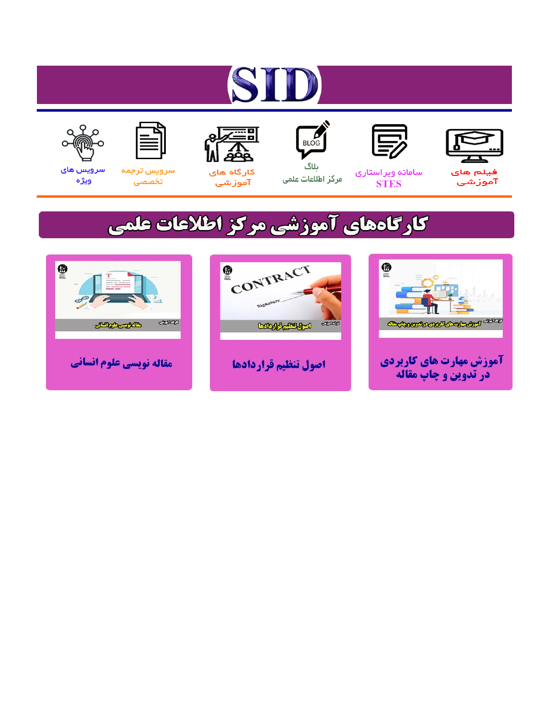# ST











ىلاگ



مرکز اطلاعات علمی

 $\frac{1}{\sqrt{\frac{1}{100}}}$ 

Cologie Legislation

کارگاه های آموزشي

空

ققق

 $\begin{matrix} \textcircled{\footnotesize{A}}\\ \textcircled{\footnotesize{B}} \end{matrix}$ 

سرويس ترجمه تخصصى



سرویس های ويژه

كارگاههای آموزشی مركز اطلاعات علمی

CONTRACT

اصول تنظيم قراردادها



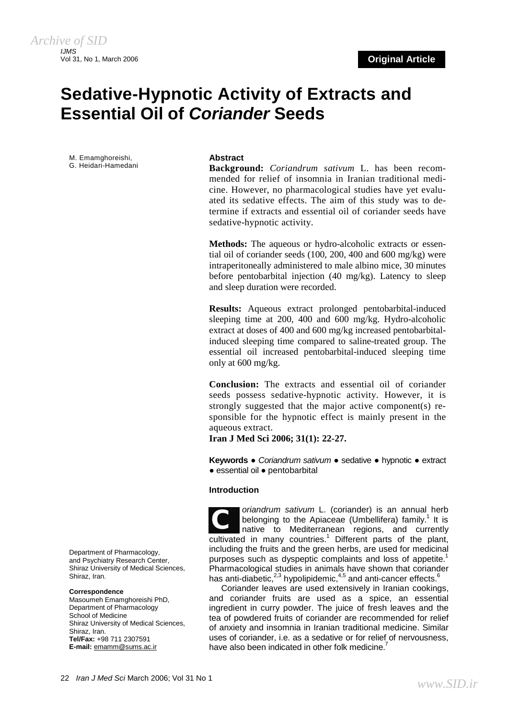## **Sedative-Hypnotic Activity of Extracts and Essential Oil of** *Coriander* **Seeds**

M. Emamghoreishi, G. Heidari-Hamedani

#### **Abstract**

**Background:** *Coriandrum sativum* L. has been recommended for relief of insomnia in Iranian traditional medicine. However, no pharmacological studies have yet evaluated its sedative effects. The aim of this study was to determine if extracts and essential oil of coriander seeds have sedative-hypnotic activity.

**Methods:** The aqueous or hydro-alcoholic extracts or essential oil of coriander seeds (100, 200, 400 and 600 mg/kg) were intraperitoneally administered to male albino mice, 30 minutes before pentobarbital injection (40 mg/kg). Latency to sleep and sleep duration were recorded.

**Results:** Aqueous extract prolonged pentobarbital-induced sleeping time at 200, 400 and 600 mg/kg. Hydro-alcoholic extract at doses of 400 and 600 mg/kg increased pentobarbitalinduced sleeping time compared to saline-treated group. The essential oil increased pentobarbital-induced sleeping time only at 600 mg/kg.

**Conclusion:** The extracts and essential oil of coriander seeds possess sedative-hypnotic activity. However, it is strongly suggested that the major active component(s) responsible for the hypnotic effect is mainly present in the aqueous extract.

**Iran J Med Sci 2006; 31(1): 22-27.** 

**Keywords** ● *Coriandrum sativum* ● sedative ● hypnotic ● extract ● essential oil ● pentobarbital

#### **Introduction**

*oriandrum sativum* L. (coriander) is an annual herb belonging to the Apiaceae (Umbellifera) family.<sup>1</sup> It is native to Mediterranean regions, and currently cultivated in many countries.<sup>1</sup> Different parts of the plant, including the fruits and the green herbs, are used for medicinal purposes such as dyspeptic complaints and loss of appetite.<sup>1</sup> Pharmacological studies in animals have shown that coriander has anti-diabetic, $2,3$  hypolipidemic, $4,5$  and anti-cancer effects. $6$ *C*

Coriander leaves are used extensively in Iranian cookings, and coriander fruits are used as a spice, an essential ingredient in curry powder. The juice of fresh leaves and the tea of powdered fruits of coriander are recommended for relief of anxiety and insomnia in Iranian traditional medicine. Similar uses of coriander, i.e. as a sedative or for relief of nervousness, have also been indicated in other folk medicine.

Department of Pharmacology, and Psychiatry Research Center, Shiraz University of Medical Sciences, Shiraz, Iran.

#### **Correspondence**

Masoumeh Emamghoreishi PhD, Department of Pharmacology School of Medicine Shiraz University of Medical Sciences, Shiraz, Iran. **Tel/Fax:** +98 711 2307591 **E-mail:** [emamm@sums.ac.ir](mailto:emamm@sums.ac.ir)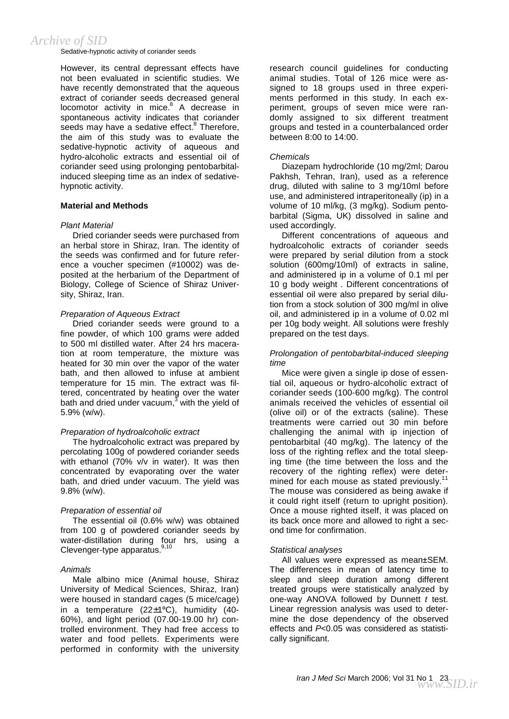Sedative-hypnotic activity of coriander seeds

However, its central depressant effects have not been evaluated in scientific studies. We have recently demonstrated that the aqueous extract of coriander seeds decreased general locomotor activity in mice.<sup>8</sup> A decrease in spontaneous activity indicates that coriander seeds may have a sedative effect.<sup>8</sup> Therefore, the aim of this study was to evaluate the sedative-hypnotic activity of aqueous and hydro-alcoholic extracts and essential oil of coriander seed using prolonging pentobarbitalinduced sleeping time as an index of sedativehypnotic activity.

#### **Material and Methods**

#### *Plant Material*

Dried coriander seeds were purchased from an herbal store in Shiraz, Iran. The identity of the seeds was confirmed and for future reference a voucher specimen (#10002) was deposited at the herbarium of the Department of Biology, College of Science of Shiraz University, Shiraz, Iran.

#### *Preparation of Aqueous Extract*

Dried coriander seeds were ground to a fine powder, of which 100 grams were added to 500 ml distilled water. After 24 hrs maceration at room temperature, the mixture was heated for 30 min over the vapor of the water bath, and then allowed to infuse at ambient temperature for 15 min. The extract was filtered, concentrated by heating over the water bath and dried under vacuum, $3$  with the yield of 5.9% (w/w).

#### *Preparation of hydroalcoholic extract*

The hydroalcoholic extract was prepared by percolating 100g of powdered coriander seeds with ethanol (70% v/v in water). It was then concentrated by evaporating over the water bath, and dried under vacuum. The yield was 9.8% (w/w).

#### *Preparation of essential oil*

The essential oil (0.6% w/w) was obtained from 100 g of powdered coriander seeds by water-distillation during four hrs, using a Clevenger-type apparatus.<sup>9,10</sup>

#### *Animals*

Male albino mice (Animal house, Shiraz University of Medical Sciences, Shiraz, Iran) were housed in standard cages (5 mice/cage) in a temperature (22±1ºC), humidity (40- 60%), and light period (07.00-19.00 hr) controlled environment. They had free access to water and food pellets. Experiments were performed in conformity with the university

research council guidelines for conducting animal studies. Total of 126 mice were assigned to 18 groups used in three experiments performed in this study. In each experiment, groups of seven mice were randomly assigned to six different treatment groups and tested in a counterbalanced order between 8:00 to 14:00.

#### *Chemicals*

Diazepam hydrochloride (10 mg/2ml; Darou Pakhsh, Tehran, Iran), used as a reference drug, diluted with saline to 3 mg/10ml before use, and administered intraperitoneally (ip) in a volume of 10 ml/kg, (3 mg/kg). Sodium pentobarbital (Sigma, UK) dissolved in saline and used accordingly.

Different concentrations of aqueous and hydroalcoholic extracts of coriander seeds were prepared by serial dilution from a stock solution (600mg/10ml) of extracts in saline, and administered ip in a volume of 0.1 ml per 10 g body weight . Different concentrations of essential oil were also prepared by serial dilution from a stock solution of 300 mg/ml in olive oil, and administered ip in a volume of 0.02 ml per 10g body weight. All solutions were freshly prepared on the test days.

#### *Prolongation of pentobarbital-induced sleeping time*

Mice were given a single ip dose of essential oil, aqueous or hydro-alcoholic extract of coriander seeds (100-600 mg/kg). The control animals received the vehicles of essential oil (olive oil) or of the extracts (saline). These treatments were carried out 30 min before challenging the animal with ip injection of pentobarbital (40 mg/kg). The latency of the loss of the righting reflex and the total sleeping time (the time between the loss and the recovery of the righting reflex) were determined for each mouse as stated previously.<sup>11</sup> The mouse was considered as being awake if it could right itself (return to upright position). Once a mouse righted itself, it was placed on its back once more and allowed to right a second time for confirmation.

#### *Statistical analyses*

All values were expressed as mean±SEM. The differences in mean of latency time to sleep and sleep duration among different treated groups were statistically analyzed by one-way ANOVA followed by Dunnett *t* test. Linear regression analysis was used to determine the dose dependency of the observed effects and *P*<0.05 was considered as statistically significant.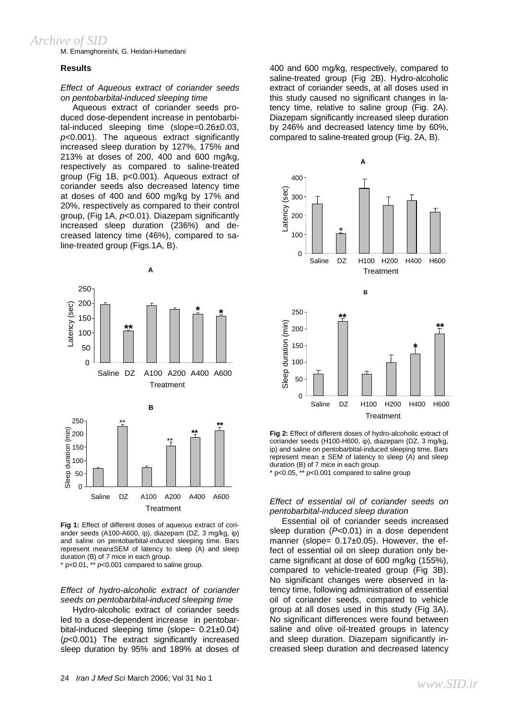M. Emamghoreishi, G. Heidari-Hamedani

#### **Results**

#### *Effect of Aqueous extract of coriander seeds on pentobarbital-induced sleeping time*

Aqueous extract of coriander seeds produced dose-dependent increase in pentobarbital-induced sleeping time (slope=0.26±0.03, *p*<0.001). The aqueous extract significantly increased sleep duration by 127%, 175% and 213% at doses of 200, 400 and 600 mg/kg, respectively as compared to saline-treated group (Fig 1B, p<0.001). Aqueous extract of coriander seeds also decreased latency time at doses of 400 and 600 mg/kg by 17% and 20%, respectively as compared to their control group, (Fig 1A, *p*<0.01). Diazepam significantly increased sleep duration (236%) and decreased latency time (46%), compared to saline-treated group (Figs.1A, B).



**Fig 1:** Effect of different doses of aqueous extract of coriander seeds (A100-A600, ip), diazepam (DZ, 3 mg/kg, ip) and saline on pentobarbital-induced sleeping time. Bars represent mean±SEM of latency to sleep (A) and sleep duration (B) of 7 mice in each group.

\* p<0.01, \*\* *p*<0.001 compared to saline group.

#### *Effect of hydro-alcoholic extract of coriander seeds on pentobarbital-induced sleeping time*

Hydro-alcoholic extract of coriander seeds led to a dose-dependent increase in pentobarbital-induced sleeping time (slope= 0.21±0.04) (*p*<0.001) The extract significantly increased sleep duration by 95% and 189% at doses of 400 and 600 mg/kg, respectively, compared to saline-treated group (Fig 2B). Hydro-alcoholic extract of coriander seeds, at all doses used in this study caused no significant changes in latency time, relative to saline group (Fig. 2A). Diazepam significantly increased sleep duration by 246% and decreased latency time by 60%, compared to saline-treated group (Fig. 2A, B).



**Fig 2:** Effect of different doses of hydro-alcoholic extract of coriander seeds (H100-H600, ip), diazepam (DZ, 3 mg/kg, ip) and saline on pentobarbital-induced sleeping time. Bars represent mean  $\pm$  SEM of latency to sleep (A) and sleep duration (B) of 7 mice in each group.  $p$  p<0.05,  $*$   $p$  p<0.001 compared to saline group

#### *Effect of essential oil of coriander seeds on pentobarbital-induced sleep duration*

Essential oil of coriander seeds increased sleep duration (*P*<0.01) in a dose dependent manner (slope= 0.17±0.05). However, the effect of essential oil on sleep duration only became significant at dose of 600 mg/kg (155%), compared to vehicle-treated group (Fig 3B). No significant changes were observed in latency time, following administration of essential oil of coriander seeds, compared to vehicle group at all doses used in this study (Fig 3A). No significant differences were found between saline and olive oil-treated groups in latency and sleep duration. Diazepam significantly increased sleep duration and decreased latency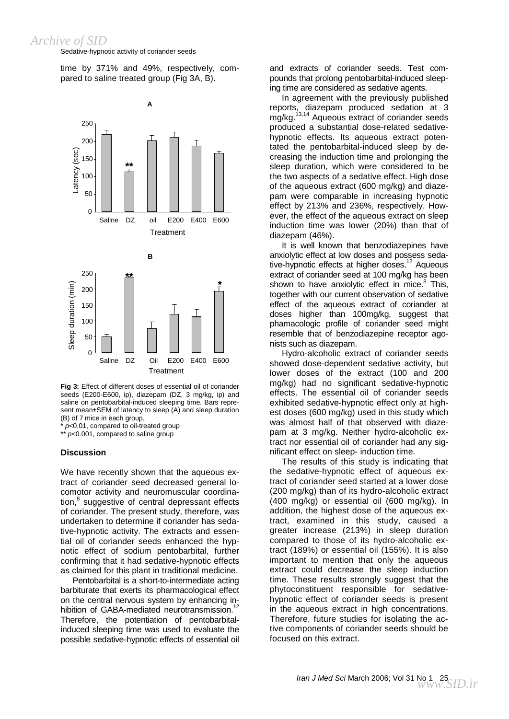Sedative-hypnotic activity of coriander seeds

time by 371% and 49%, respectively, compared to saline treated group (Fig 3A, B).



**Fig 3:** Effect of different doses of essential oil of coriander seeds (E200-E600, ip), diazepam (DZ, 3 mg/kg, ip) and saline on pentobarbital-induced sleeping time. Bars represent mean±SEM of latency to sleep (A) and sleep duration (B) of 7 mice in each group.

p<0.01, compared to oil-treated group

\*\* *p*<0.001, compared to saline group

#### **Discussion**

We have recently shown that the aqueous extract of coriander seed decreased general locomotor activity and neuromuscular coordination, $^8$  suggestive of central depressant effects of coriander. The present study, therefore, was undertaken to determine if coriander has sedative-hypnotic activity. The extracts and essential oil of coriander seeds enhanced the hypnotic effect of sodium pentobarbital, further confirming that it had sedative-hypnotic effects as claimed for this plant in traditional medicine.

Pentobarbital is a short-to-intermediate acting barbiturate that exerts its pharmacological effect on the central nervous system by enhancing inhibition of GABA-mediated neurotransmission.<sup>12</sup> Therefore, the potentiation of pentobarbitalinduced sleeping time was used to evaluate the possible sedative-hypnotic effects of essential oil and extracts of coriander seeds. Test compounds that prolong pentobarbital-induced sleeping time are considered as sedative agents.

In agreement with the previously published reports, diazepam produced sedation at 3 mg/kg.<sup>13,14</sup> Aqueous extract of coriander seeds produced a substantial dose-related sedativehypnotic effects. Its aqueous extract potentated the pentobarbital-induced sleep by decreasing the induction time and prolonging the sleep duration, which were considered to be the two aspects of a sedative effect. High dose of the aqueous extract (600 mg/kg) and diazepam were comparable in increasing hypnotic effect by 213% and 236%, respectively. However, the effect of the aqueous extract on sleep induction time was lower (20%) than that of diazepam (46%).

It is well known that benzodiazepines have anxiolytic effect at low doses and possess sedative-hypnotic effects at higher doses.<sup>12</sup> Aqueous extract of coriander seed at 100 mg/kg has been shown to have anxiolytic effect in mice.<sup>8</sup> This, together with our current observation of sedative effect of the aqueous extract of coriander at doses higher than 100mg/kg, suggest that phamacologic profile of coriander seed might resemble that of benzodiazepine receptor agonists such as diazepam.

Hydro-alcoholic extract of coriander seeds showed dose-dependent sedative activity, but lower doses of the extract (100 and 200 mg/kg) had no significant sedative-hypnotic effects. The essential oil of coriander seeds exhibited sedative-hypnotic effect only at highest doses (600 mg/kg) used in this study which was almost half of that observed with diazepam at 3 mg/kg. Neither hydro-alcoholic extract nor essential oil of coriander had any significant effect on sleep- induction time.

The results of this study is indicating that the sedative-hypnotic effect of aqueous extract of coriander seed started at a lower dose (200 mg/kg) than of its hydro-alcoholic extract (400 mg/kg) or essential oil (600 mg/kg). In addition, the highest dose of the aqueous extract, examined in this study, caused a greater increase (213%) in sleep duration compared to those of its hydro-alcoholic extract (189%) or essential oil (155%). It is also important to mention that only the aqueous extract could decrease the sleep induction time. These results strongly suggest that the phytoconstituent responsible for sedativehypnotic effect of coriander seeds is present in the aqueous extract in high concentrations. Therefore, future studies for isolating the active components of coriander seeds should be focused on this extract.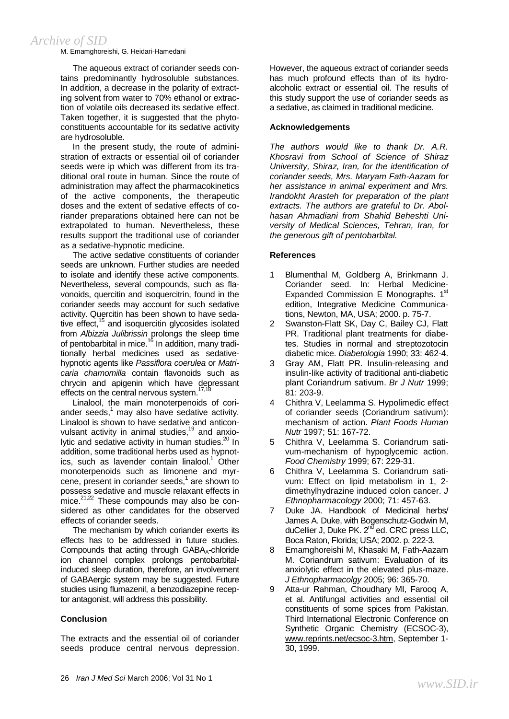M. Emamghoreishi, G. Heidari-Hamedani

The aqueous extract of coriander seeds contains predominantly hydrosoluble substances. In addition, a decrease in the polarity of extracting solvent from water to 70% ethanol or extraction of volatile oils decreased its sedative effect. Taken together, it is suggested that the phytoconstituents accountable for its sedative activity are hydrosoluble.

In the present study, the route of administration of extracts or essential oil of coriander seeds were ip which was different from its traditional oral route in human. Since the route of administration may affect the pharmacokinetics of the active components, the therapeutic doses and the extent of sedative effects of coriander preparations obtained here can not be extrapolated to human. Nevertheless, these results support the traditional use of coriander as a sedative-hypnotic medicine.

The active sedative constituents of coriander seeds are unknown. Further studies are needed to isolate and identify these active components. Nevertheless, several compounds, such as flavonoids, quercitin and isoquercitrin, found in the coriander seeds may account for such sedative activity. Quercitin has been shown to have sedative effect, $15$  and isoquercitin glycosides isolated from *Albizzia Julibrissin* prolongs the sleep time of pentobarbital in mice.<sup>16</sup> In addition, many traditionally herbal medicines used as sedativehypnotic agents like *Passiflora coerulea* or *Matricaria chamomilla* contain flavonoids such as chrycin and apigenin which have depressant effects on the central nervous system.<sup>17,18</sup>

Linalool, the main monoterpenoids of coriander seeds, $<sup>1</sup>$  may also have sedative activity.</sup> Linalool is shown to have sedative and anticonvulsant activity in animal studies,<sup>19</sup> and anxiolytic and sedative activity in human studies.<sup>20</sup> In addition, some traditional herbs used as hypnotics, such as lavender contain linalool.<sup>1</sup> Other monoterpenoids such as limonene and myrcene, present in coriander seeds, $1$  are shown to possess sedative and muscle relaxant effects in  $mice.<sup>21,22</sup>$  These compounds may also be considered as other candidates for the observed effects of coriander seeds.

The mechanism by which coriander exerts its effects has to be addressed in future studies. Compounds that acting through GABA<sub>A</sub>-chloride ion channel complex prolongs pentobarbitalinduced sleep duration, therefore, an involvement of GABAergic system may be suggested. Future studies using flumazenil, a benzodiazepine receptor antagonist, will address this possibility.

#### **Conclusion**

The extracts and the essential oil of coriander seeds produce central nervous depression. However, the aqueous extract of coriander seeds has much profound effects than of its hydroalcoholic extract or essential oil. The results of this study support the use of coriander seeds as a sedative, as claimed in traditional medicine.

#### **Acknowledgements**

*The authors would like to thank Dr. A.R. Khosravi from School of Science of Shiraz University, Shiraz, Iran, for the identification of coriander seeds, Mrs. Maryam Fath-Aazam for her assistance in animal experiment and Mrs. Irandokht Arasteh for preparation of the plant extracts. The authors are grateful to Dr. Abolhasan Ahmadiani from Shahid Beheshti University of Medical Sciences, Tehran, Iran, for the generous gift of pentobarbital.* 

#### **References**

- 1 Blumenthal M, Goldberg A, Brinkmann J. Coriander seed. In: Herbal Medicine-Expanded Commission E Monographs. 1st edition, Integrative Medicine Communications, Newton, MA, USA; 2000. p. 75-7.
- 2 Swanston-Flatt SK, Day C, Bailey CJ, Flatt PR. Traditional plant treatments for diabetes. Studies in normal and streptozotocin diabetic mice. *Diabetologia* 1990; 33: 462-4.
- 3 Gray AM, Flatt PR. Insulin-releasing and insulin-like activity of traditional anti-diabetic plant Coriandrum sativum. *Br J Nutr* 1999; 81: 203-9.
- 4 Chithra V, Leelamma S. Hypolimedic effect of coriander seeds (Coriandrum sativum): mechanism of action. *Plant Foods Human Nutr* 1997; 51: 167-72.
- 5 Chithra V, Leelamma S. Coriandrum sativum-mechanism of hypoglycemic action. *Food Chemistry* 1999; 67: 229-31.
- 6 Chithra V, Leelamma S. Coriandrum sativum: Effect on lipid metabolism in 1, 2 dimethylhydrazine induced colon cancer. *J Ethnopharmacology* 2000; 71: 457-63.
- 7 Duke JA. Handbook of Medicinal herbs/ James A. Duke, with Bogenschutz-Godwin M, duCellier J, Duke PK.  $2^{nd}$  ed. CRC press LLC, Boca Raton, Florida; USA; 2002. p. 222-3.
- 8 Emamghoreishi M, Khasaki M, Fath-Aazam M. Coriandrum sativum: Evaluation of its anxiolytic effect in the elevated plus-maze. *J Ethnopharmacolgy* 2005; 96: 365-70.
- 9 Atta-ur Rahman, Choudhary MI, Farooq A, et al. Antifungal activities and essential oil constituents of some spices from Pakistan. Third International Electronic Conference on Synthetic Organic Chemistry (ECSOC-3), [www.reprints.net/ecsoc-3.htm,](http://www.reprints.net/ecsoc-3.htm) September 1- 30, 1999.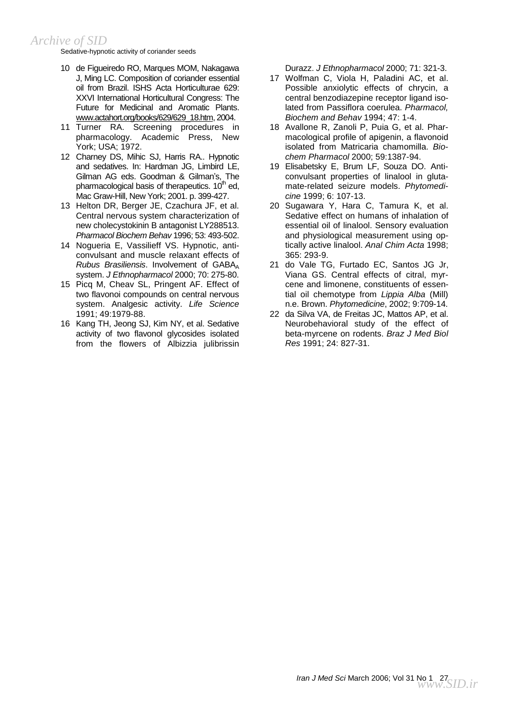Sedative-hypnotic activity of coriander seeds

- 10 de Figueiredo RO, Marques MOM, Nakagawa J, Ming LC. Composition of coriander essential oil from Brazil. ISHS Acta Horticulturae 629: XXVI International Horticultural Congress: The Future for Medicinal and Aromatic Plants. [www.actahort.org/books/629/629\\_18.htm](http://www.actahort.org/books/629/629_18.htm), 2004.
- 11 Turner RA. Screening procedures in pharmacology. Academic Press, New York; USA; 1972.
- 12 Charney DS, Mihic SJ, Harris RA.. Hypnotic and sedatives. In: Hardman JG, Limbird LE, Gilman AG eds. Goodman & Gilman's, The pharmacological basis of therapeutics.  $10<sup>th</sup>$  ed, Mac Graw-Hill, New York; 2001. p. 399-427.
- 13 Helton DR, Berger JE, Czachura JF, et al. Central nervous system characterization of new cholecystokinin B antagonist LY288513. *Pharmacol Biochem Behav* 1996; 53: 493-502.
- 14 Nogueria E, Vassilieff VS. Hypnotic, anticonvulsant and muscle relaxant effects of  $Rubus$  *Brasiliensis*. Involvement of GABA<sub>A</sub> system. *J Ethnopharmacol* 2000; 70: 275-80.
- 15 Picq M, Cheav SL, Pringent AF. Effect of two flavonoi compounds on central nervous system. Analgesic activity. *Life Science* 1991; 49:1979-88.
- 16 Kang TH, Jeong SJ, Kim NY, et al. Sedative activity of two flavonol glycosides isolated from the flowers of Albizzia julibrissin

Durazz. *J Ethnopharmacol* 2000; 71: 321-3.

- 17 Wolfman C, Viola H, Paladini AC, et al. Possible anxiolytic effects of chrycin, a central benzodiazepine receptor ligand isolated from Passiflora coerulea. *Pharmacol, Biochem and Behav* 1994; 47: 1-4.
- 18 Avallone R, Zanoli P, Puia G, et al. Pharmacological profile of apigenin, a flavonoid isolated from Matricaria chamomilla. *Biochem Pharmacol* 2000; 59:1387-94.
- 19 Elisabetsky E, Brum LF, Souza DO. Anticonvulsant properties of linalool in glutamate-related seizure models. *Phytomedicine* 1999; 6: 107-13.
- 20 Sugawara Y, Hara C, Tamura K, et al. Sedative effect on humans of inhalation of essential oil of linalool. Sensory evaluation and physiological measurement using optically active linalool. *Anal Chim Acta* 1998; 365: 293-9.
- 21 do Vale TG, Furtado EC, Santos JG Jr, Viana GS. Central effects of citral, myrcene and limonene, constituents of essential oil chemotype from *Lippia Alba* (Mill) n.e. Brown. *Phytomedicine*, 2002; 9:709-14.
- 22 da Silva VA, de Freitas JC, Mattos AP, et al. Neurobehavioral study of the effect of beta-myrcene on rodents. *Braz J Med Biol Res* 1991; 24: 827-31.